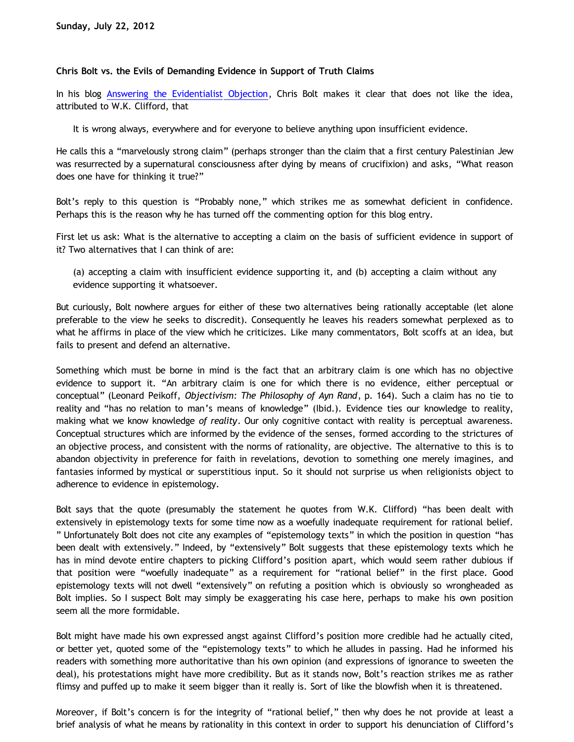## **Chris Bolt vs. the Evils of Demanding Evidence in Support of Truth Claims**

In his blog [Answering the Evidentialist Objection](http://www.choosinghats.com/2012/07/answering-evidentialist-objection/), Chris Bolt makes it clear that does not like the idea, attributed to W.K. Clifford, that

It is wrong always, everywhere and for everyone to believe anything upon insufficient evidence.

He calls this a "marvelously strong claim" (perhaps stronger than the claim that a first century Palestinian Jew was resurrected by a supernatural consciousness after dying by means of crucifixion) and asks, "What reason does one have for thinking it true?"

Bolt's reply to this question is "Probably none," which strikes me as somewhat deficient in confidence. Perhaps this is the reason why he has turned off the commenting option for this blog entry.

First let us ask: What is the alternative to accepting a claim on the basis of sufficient evidence in support of it? Two alternatives that I can think of are:

(a) accepting a claim with insufficient evidence supporting it, and (b) accepting a claim without any evidence supporting it whatsoever.

But curiously, Bolt nowhere argues for either of these two alternatives being rationally acceptable (let alone preferable to the view he seeks to discredit). Consequently he leaves his readers somewhat perplexed as to what he affirms in place of the view which he criticizes. Like many commentators, Bolt scoffs at an idea, but fails to present and defend an alternative.

Something which must be borne in mind is the fact that an arbitrary claim is one which has no objective evidence to support it. "An arbitrary claim is one for which there is no evidence, either perceptual or conceptual" (Leonard Peikoff, *Objectivism: The Philosophy of Ayn Rand*, p. 164). Such a claim has no tie to reality and "has no relation to man's means of knowledge" (Ibid.). Evidence ties our knowledge to reality, making what we know knowledge *of reality*. Our only cognitive contact with reality is perceptual awareness. Conceptual structures which are informed by the evidence of the senses, formed according to the strictures of an objective process, and consistent with the norms of rationality, are objective. The alternative to this is to abandon objectivity in preference for faith in revelations, devotion to something one merely imagines, and fantasies informed by mystical or superstitious input. So it should not surprise us when religionists object to adherence to evidence in epistemology.

Bolt says that the quote (presumably the statement he quotes from W.K. Clifford) "has been dealt with extensively in epistemology texts for some time now as a woefully inadequate requirement for rational belief. " Unfortunately Bolt does not cite any examples of "epistemology texts" in which the position in question "has been dealt with extensively." Indeed, by "extensively" Bolt suggests that these epistemology texts which he has in mind devote entire chapters to picking Clifford's position apart, which would seem rather dubious if that position were "woefully inadequate" as a requirement for "rational belief" in the first place. Good epistemology texts will not dwell "extensively" on refuting a position which is obviously so wrongheaded as Bolt implies. So I suspect Bolt may simply be exaggerating his case here, perhaps to make his own position seem all the more formidable.

Bolt might have made his own expressed angst against Clifford's position more credible had he actually cited, or better yet, quoted some of the "epistemology texts" to which he alludes in passing. Had he informed his readers with something more authoritative than his own opinion (and expressions of ignorance to sweeten the deal), his protestations might have more credibility. But as it stands now, Bolt's reaction strikes me as rather flimsy and puffed up to make it seem bigger than it really is. Sort of like the blowfish when it is threatened.

Moreover, if Bolt's concern is for the integrity of "rational belief," then why does he not provide at least a brief analysis of what he means by rationality in this context in order to support his denunciation of Clifford's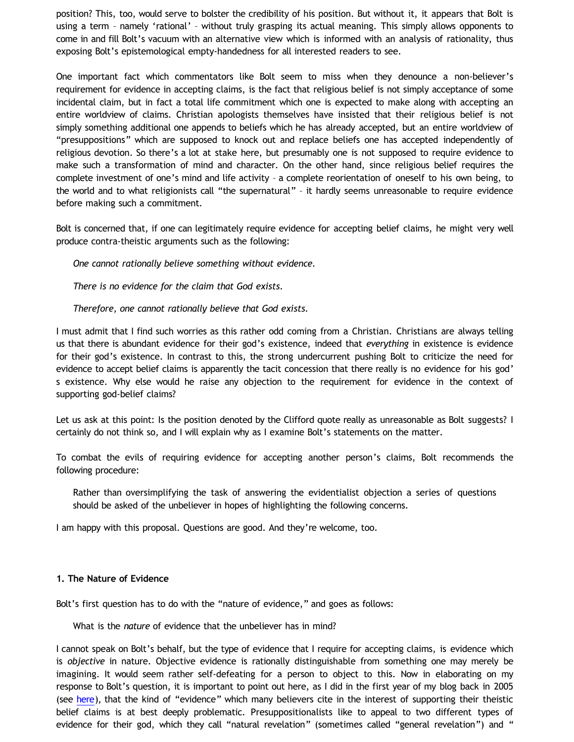position? This, too, would serve to bolster the credibility of his position. But without it, it appears that Bolt is using a term – namely 'rational' – without truly grasping its actual meaning. This simply allows opponents to come in and fill Bolt's vacuum with an alternative view which is informed with an analysis of rationality, thus exposing Bolt's epistemological empty-handedness for all interested readers to see.

One important fact which commentators like Bolt seem to miss when they denounce a non-believer's requirement for evidence in accepting claims, is the fact that religious belief is not simply acceptance of some incidental claim, but in fact a total life commitment which one is expected to make along with accepting an entire worldview of claims. Christian apologists themselves have insisted that their religious belief is not simply something additional one appends to beliefs which he has already accepted, but an entire worldview of "presuppositions" which are supposed to knock out and replace beliefs one has accepted independently of religious devotion. So there's a lot at stake here, but presumably one is not supposed to require evidence to make such a transformation of mind and character. On the other hand, since religious belief requires the complete investment of one's mind and life activity – a complete reorientation of oneself to his own being, to the world and to what religionists call "the supernatural" – it hardly seems unreasonable to require evidence before making such a commitment.

Bolt is concerned that, if one can legitimately require evidence for accepting belief claims, he might very well produce contra-theistic arguments such as the following:

*One cannot rationally believe something without evidence.*

*There is no evidence for the claim that God exists.*

*Therefore, one cannot rationally believe that God exists.*

I must admit that I find such worries as this rather odd coming from a Christian. Christians are always telling us that there is abundant evidence for their god's existence, indeed that *everything* in existence is evidence for their god's existence. In contrast to this, the strong undercurrent pushing Bolt to criticize the need for evidence to accept belief claims is apparently the tacit concession that there really is no evidence for his god' s existence. Why else would he raise any objection to the requirement for evidence in the context of supporting god-belief claims?

Let us ask at this point: Is the position denoted by the Clifford quote really as unreasonable as Bolt suggests? I certainly do not think so, and I will explain why as I examine Bolt's statements on the matter.

To combat the evils of requiring evidence for accepting another person's claims, Bolt recommends the following procedure:

Rather than oversimplifying the task of answering the evidentialist objection a series of questions should be asked of the unbeliever in hopes of highlighting the following concerns.

I am happy with this proposal. Questions are good. And they're welcome, too.

#### **1. The Nature of Evidence**

Bolt's first question has to do with the "nature of evidence," and goes as follows:

What is the *nature* of evidence that the unbeliever has in mind?

I cannot speak on Bolt's behalf, but the type of evidence that I require for accepting claims, is evidence which is *objective* in nature. Objective evidence is rationally distinguishable from something one may merely be imagining. It would seem rather self-defeating for a person to object to this. Now in elaborating on my response to Bolt's question, it is important to point out here, as I did in the first year of my blog back in 2005 (see [here](http://bahnsenburner.blogspot.com/2005/06/is-human-experience-evidence-of.html)), that the kind of "evidence" which many believers cite in the interest of supporting their theistic belief claims is at best deeply problematic. Presuppositionalists like to appeal to two different types of evidence for their god, which they call "natural revelation" (sometimes called "general revelation") and "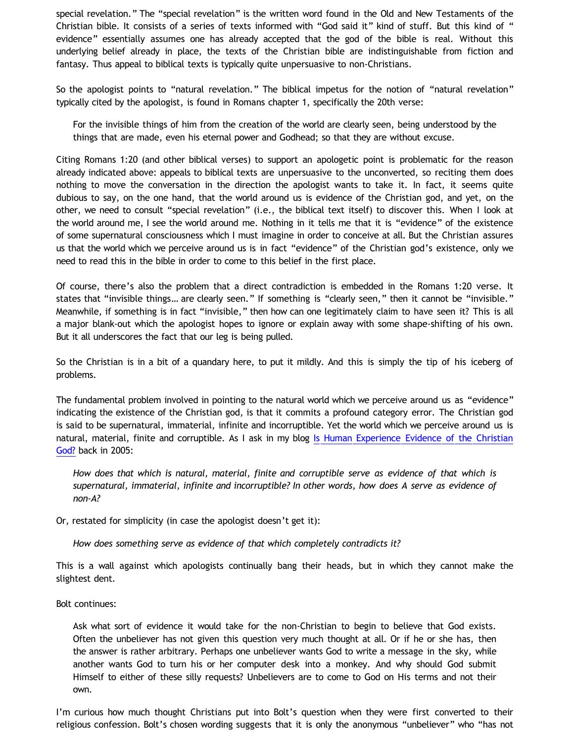special revelation." The "special revelation" is the written word found in the Old and New Testaments of the Christian bible. It consists of a series of texts informed with "God said it" kind of stuff. But this kind of " evidence" essentially assumes one has already accepted that the god of the bible is real. Without this underlying belief already in place, the texts of the Christian bible are indistinguishable from fiction and fantasy. Thus appeal to biblical texts is typically quite unpersuasive to non-Christians.

So the apologist points to "natural revelation." The biblical impetus for the notion of "natural revelation" typically cited by the apologist, is found in Romans chapter 1, specifically the 20th verse:

For the invisible things of him from the creation of the world are clearly seen, being understood by the things that are made, even his eternal power and Godhead; so that they are without excuse.

Citing Romans 1:20 (and other biblical verses) to support an apologetic point is problematic for the reason already indicated above: appeals to biblical texts are unpersuasive to the unconverted, so reciting them does nothing to move the conversation in the direction the apologist wants to take it. In fact, it seems quite dubious to say, on the one hand, that the world around us is evidence of the Christian god, and yet, on the other, we need to consult "special revelation" (i.e., the biblical text itself) to discover this. When I look at the world around me, I see the world around me. Nothing in it tells me that it is "evidence" of the existence of some supernatural consciousness which I must imagine in order to conceive at all. But the Christian assures us that the world which we perceive around us is in fact "evidence" of the Christian god's existence, only we need to read this in the bible in order to come to this belief in the first place.

Of course, there's also the problem that a direct contradiction is embedded in the Romans 1:20 verse. It states that "invisible things… are clearly seen." If something is "clearly seen," then it cannot be "invisible." Meanwhile, if something is in fact "invisible," then how can one legitimately claim to have seen it? This is all a major blank-out which the apologist hopes to ignore or explain away with some shape-shifting of his own. But it all underscores the fact that our leg is being pulled.

So the Christian is in a bit of a quandary here, to put it mildly. And this is simply the tip of his iceberg of problems.

The fundamental problem involved in pointing to the natural world which we perceive around us as "evidence" indicating the existence of the Christian god, is that it commits a profound category error. The Christian god is said to be supernatural, immaterial, infinite and incorruptible. Yet the world which we perceive around us is natural, material, finite and corruptible. As I ask in my blog [Is Human Experience Evidence of the Christian](http://bahnsenburner.blogspot.com/2005/06/is-human-experience-evidence-of.html) [God?](http://bahnsenburner.blogspot.com/2005/06/is-human-experience-evidence-of.html) back in 2005:

*How does that which is natural, material, finite and corruptible serve as evidence of that which is supernatural, immaterial, infinite and incorruptible? In other words, how does A serve as evidence of non-A?*

Or, restated for simplicity (in case the apologist doesn't get it):

*How does something serve as evidence of that which completely contradicts it?*

This is a wall against which apologists continually bang their heads, but in which they cannot make the slightest dent.

Bolt continues:

Ask what sort of evidence it would take for the non-Christian to begin to believe that God exists. Often the unbeliever has not given this question very much thought at all. Or if he or she has, then the answer is rather arbitrary. Perhaps one unbeliever wants God to write a message in the sky, while another wants God to turn his or her computer desk into a monkey. And why should God submit Himself to either of these silly requests? Unbelievers are to come to God on His terms and not their own.

I'm curious how much thought Christians put into Bolt's question when they were first converted to their religious confession. Bolt's chosen wording suggests that it is only the anonymous "unbeliever" who "has not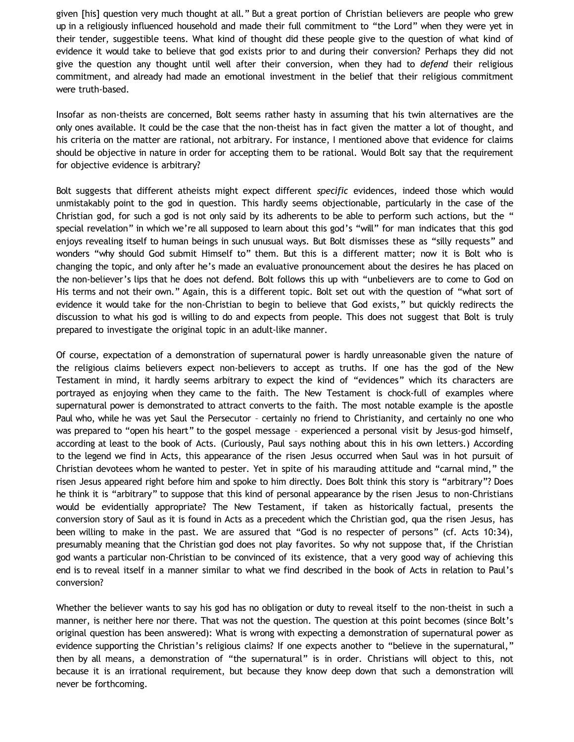given [his] question very much thought at all." But a great portion of Christian believers are people who grew up in a religiously influenced household and made their full commitment to "the Lord" when they were yet in their tender, suggestible teens. What kind of thought did these people give to the question of what kind of evidence it would take to believe that god exists prior to and during their conversion? Perhaps they did not give the question any thought until well after their conversion, when they had to *defend* their religious commitment, and already had made an emotional investment in the belief that their religious commitment were truth-based.

Insofar as non-theists are concerned, Bolt seems rather hasty in assuming that his twin alternatives are the only ones available. It could be the case that the non-theist has in fact given the matter a lot of thought, and his criteria on the matter are rational, not arbitrary. For instance, I mentioned above that evidence for claims should be objective in nature in order for accepting them to be rational. Would Bolt say that the requirement for objective evidence is arbitrary?

Bolt suggests that different atheists might expect different *specific* evidences, indeed those which would unmistakably point to the god in question. This hardly seems objectionable, particularly in the case of the Christian god, for such a god is not only said by its adherents to be able to perform such actions, but the " special revelation" in which we're all supposed to learn about this god's "will" for man indicates that this god enjoys revealing itself to human beings in such unusual ways. But Bolt dismisses these as "silly requests" and wonders "why should God submit Himself to" them. But this is a different matter; now it is Bolt who is changing the topic, and only after he's made an evaluative pronouncement about the desires he has placed on the non-believer's lips that he does not defend. Bolt follows this up with "unbelievers are to come to God on His terms and not their own." Again, this is a different topic. Bolt set out with the question of "what sort of evidence it would take for the non-Christian to begin to believe that God exists," but quickly redirects the discussion to what his god is willing to do and expects from people. This does not suggest that Bolt is truly prepared to investigate the original topic in an adult-like manner.

Of course, expectation of a demonstration of supernatural power is hardly unreasonable given the nature of the religious claims believers expect non-believers to accept as truths. If one has the god of the New Testament in mind, it hardly seems arbitrary to expect the kind of "evidences" which its characters are portrayed as enjoying when they came to the faith. The New Testament is chock-full of examples where supernatural power is demonstrated to attract converts to the faith. The most notable example is the apostle Paul who, while he was yet Saul the Persecutor – certainly no friend to Christianity, and certainly no one who was prepared to "open his heart" to the gospel message – experienced a personal visit by Jesus-god himself, according at least to the book of Acts. (Curiously, Paul says nothing about this in his own letters.) According to the legend we find in Acts, this appearance of the risen Jesus occurred when Saul was in hot pursuit of Christian devotees whom he wanted to pester. Yet in spite of his marauding attitude and "carnal mind," the risen Jesus appeared right before him and spoke to him directly. Does Bolt think this story is "arbitrary"? Does he think it is "arbitrary" to suppose that this kind of personal appearance by the risen Jesus to non-Christians would be evidentially appropriate? The New Testament, if taken as historically factual, presents the conversion story of Saul as it is found in Acts as a precedent which the Christian god, qua the risen Jesus, has been willing to make in the past. We are assured that "God is no respecter of persons" (cf. Acts 10:34), presumably meaning that the Christian god does not play favorites. So why not suppose that, if the Christian god wants a particular non-Christian to be convinced of its existence, that a very good way of achieving this end is to reveal itself in a manner similar to what we find described in the book of Acts in relation to Paul's conversion?

Whether the believer wants to say his god has no obligation or duty to reveal itself to the non-theist in such a manner, is neither here nor there. That was not the question. The question at this point becomes (since Bolt's original question has been answered): What is wrong with expecting a demonstration of supernatural power as evidence supporting the Christian's religious claims? If one expects another to "believe in the supernatural," then by all means, a demonstration of "the supernatural" is in order. Christians will object to this, not because it is an irrational requirement, but because they know deep down that such a demonstration will never be forthcoming.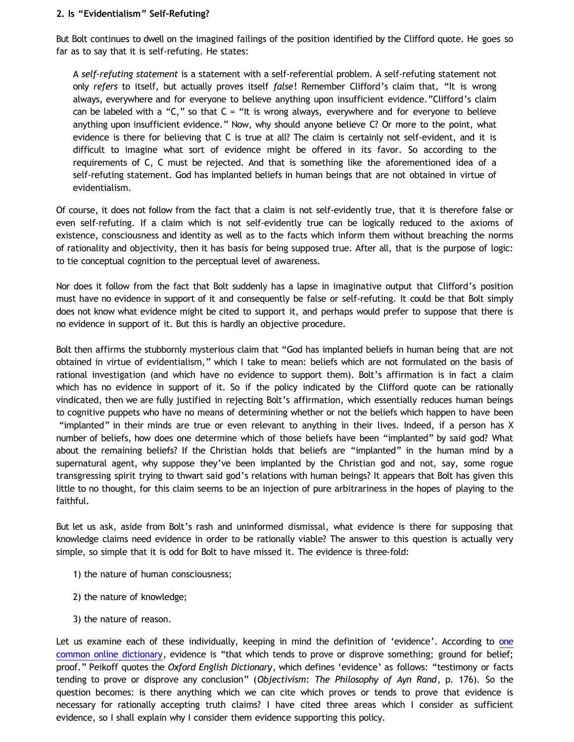## **2. Is "Evidentialism" Self-Refuting?**

But Bolt continues to dwell on the imagined failings of the position identified by the Clifford quote. He goes so far as to say that it is self-refuting. He states:

A *self-refuting statement* is a statement with a self-referential problem. A self-refuting statement not only *refers* to itself, but actually proves itself *false*! Remember Clifford's claim that, "It is wrong always, everywhere and for everyone to believe anything upon insufficient evidence."Clifford's claim can be labeled with a "C," so that  $C =$  "It is wrong always, everywhere and for everyone to believe anything upon insufficient evidence." Now, why should anyone believe C? Or more to the point, what evidence is there for believing that C is true at all? The claim is certainly not self-evident, and it is difficult to imagine what sort of evidence might be offered in its favor. So according to the requirements of C, C must be rejected. And that is something like the aforementioned idea of a self-refuting statement. God has implanted beliefs in human beings that are not obtained in virtue of evidentialism.

Of course, it does not follow from the fact that a claim is not self-evidently true, that it is therefore false or even self-refuting. If a claim which is not self-evidently true can be logically reduced to the axioms of existence, consciousness and identity as well as to the facts which inform them without breaching the norms of rationality and objectivity, then it has basis for being supposed true. After all, that is the purpose of logic: to tie conceptual cognition to the perceptual level of awareness.

Nor does it follow from the fact that Bolt suddenly has a lapse in imaginative output that Clifford's position must have no evidence in support of it and consequently be false or self-refuting. It could be that Bolt simply does not know what evidence might be cited to support it, and perhaps would prefer to suppose that there is no evidence in support of it. But this is hardly an objective procedure.

Bolt then affirms the stubbornly mysterious claim that "God has implanted beliefs in human being that are not obtained in virtue of evidentialism," which I take to mean: beliefs which are not formulated on the basis of rational investigation (and which have no evidence to support them). Bolt's affirmation is in fact a claim which has no evidence in support of it. So if the policy indicated by the Clifford quote can be rationally vindicated, then we are fully justified in rejecting Bolt's affirmation, which essentially reduces human beings to cognitive puppets who have no means of determining whether or not the beliefs which happen to have been "implanted" in their minds are true or even relevant to anything in their lives. Indeed, if a person has X number of beliefs, how does one determine which of those beliefs have been "implanted" by said god? What about the remaining beliefs? If the Christian holds that beliefs are "implanted" in the human mind by a supernatural agent, why suppose they've been implanted by the Christian god and not, say, some rogue transgressing spirit trying to thwart said god's relations with human beings? It appears that Bolt has given this little to no thought, for this claim seems to be an injection of pure arbitrariness in the hopes of playing to the faithful.

But let us ask, aside from Bolt's rash and uninformed dismissal, what evidence is there for supposing that knowledge claims need evidence in order to be rationally viable? The answer to this question is actually very simple, so simple that it is odd for Bolt to have missed it. The evidence is three-fold:

- 1) the nature of human consciousness;
- 2) the nature of knowledge;
- 3) the nature of reason.

Let us examine each of these individually, keeping in mind the definition of 'evidence'. According to [one](http://dictionary.reference.com/browse/evidence?s=t) [common online dictionary](http://dictionary.reference.com/browse/evidence?s=t), evidence is "that which tends to prove or disprove something; ground for belief; proof." Peikoff quotes the *Oxford English Dictionary*, which defines 'evidence' as follows: "testimony or facts tending to prove or disprove any conclusion" (*Objectivism: The Philosophy of Ayn Rand*, p. 176). So the question becomes: is there anything which we can cite which proves or tends to prove that evidence is necessary for rationally accepting truth claims? I have cited three areas which I consider as sufficient evidence, so I shall explain why I consider them evidence supporting this policy.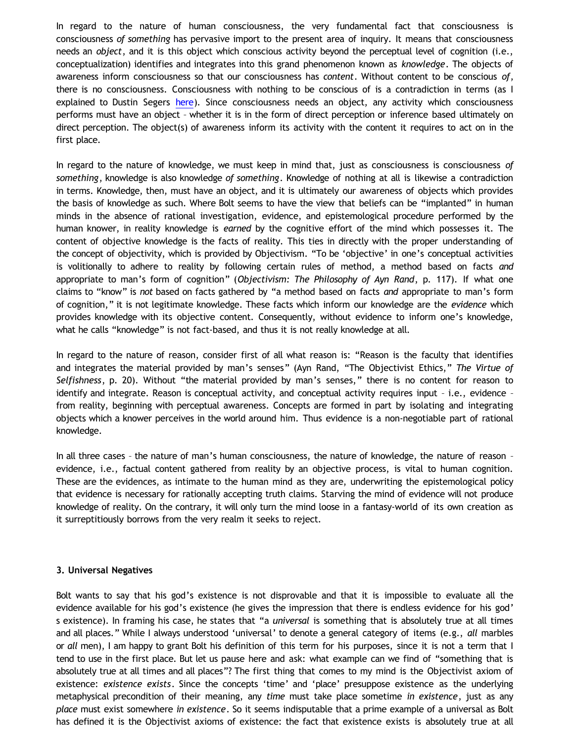In regard to the nature of human consciousness, the very fundamental fact that consciousness is consciousness *of something* has pervasive import to the present area of inquiry. It means that consciousness needs an *object*, and it is this object which conscious activity beyond the perceptual level of cognition (i.e., conceptualization) identifies and integrates into this grand phenomenon known as *knowledge*. The objects of awareness inform consciousness so that our consciousness has *content*. Without content to be conscious *of*, there is no consciousness. Consciousness with nothing to be conscious of is a contradiction in terms (as I explained to Dustin Segers [here](http://bahnsenburner.blogspot.com/2011/10/has-primacy-of-existence-been-refuted.html)). Since consciousness needs an object, any activity which consciousness performs must have an object – whether it is in the form of direct perception or inference based ultimately on direct perception. The object(s) of awareness inform its activity with the content it requires to act on in the first place.

In regard to the nature of knowledge, we must keep in mind that, just as consciousness is consciousness *of something*, knowledge is also knowledge *of something*. Knowledge of nothing at all is likewise a contradiction in terms. Knowledge, then, must have an object, and it is ultimately our awareness of objects which provides the basis of knowledge as such. Where Bolt seems to have the view that beliefs can be "implanted" in human minds in the absence of rational investigation, evidence, and epistemological procedure performed by the human knower, in reality knowledge is *earned* by the cognitive effort of the mind which possesses it. The content of objective knowledge is the facts of reality. This ties in directly with the proper understanding of the concept of objectivity, which is provided by Objectivism. "To be 'objective' in one's conceptual activities is volitionally to adhere to reality by following certain rules of method, a method based on facts *and* appropriate to man's form of cognition" (*Objectivism: The Philosophy of Ayn Rand*, p. 117). If what one claims to "know" is *not* based on facts gathered by "a method based on facts *and* appropriate to man's form of cognition," it is not legitimate knowledge. These facts which inform our knowledge are the *evidence* which provides knowledge with its objective content. Consequently, without evidence to inform one's knowledge, what he calls "knowledge" is not fact-based, and thus it is not really knowledge at all.

In regard to the nature of reason, consider first of all what reason is: "Reason is the faculty that identifies and integrates the material provided by man's senses" (Ayn Rand, "The Objectivist Ethics," *The Virtue of Selfishness*, p. 20). Without "the material provided by man's senses," there is no content for reason to identify and integrate. Reason is conceptual activity, and conceptual activity requires input – i.e., evidence – from reality, beginning with perceptual awareness. Concepts are formed in part by isolating and integrating objects which a knower perceives in the world around him. Thus evidence is a non-negotiable part of rational knowledge.

In all three cases – the nature of man's human consciousness, the nature of knowledge, the nature of reason – evidence, i.e., factual content gathered from reality by an objective process, is vital to human cognition. These are the evidences, as intimate to the human mind as they are, underwriting the epistemological policy that evidence is necessary for rationally accepting truth claims. Starving the mind of evidence will not produce knowledge of reality. On the contrary, it will only turn the mind loose in a fantasy-world of its own creation as it surreptitiously borrows from the very realm it seeks to reject.

## **3. Universal Negatives**

Bolt wants to say that his god's existence is not disprovable and that it is impossible to evaluate all the evidence available for his god's existence (he gives the impression that there is endless evidence for his god' s existence). In framing his case, he states that "a *universal* is something that is absolutely true at all times and all places." While I always understood 'universal' to denote a general category of items (e.g., *all* marbles or *all* men), I am happy to grant Bolt his definition of this term for his purposes, since it is not a term that I tend to use in the first place. But let us pause here and ask: what example can we find of "something that is absolutely true at all times and all places"? The first thing that comes to my mind is the Objectivist axiom of existence: *existence exists*. Since the concepts 'time' and 'place' presuppose existence as the underlying metaphysical precondition of their meaning, any *time* must take place sometime *in existence*, just as any *place* must exist somewhere *in existence*. So it seems indisputable that a prime example of a universal as Bolt has defined it is the Objectivist axioms of existence: the fact that existence exists is absolutely true at all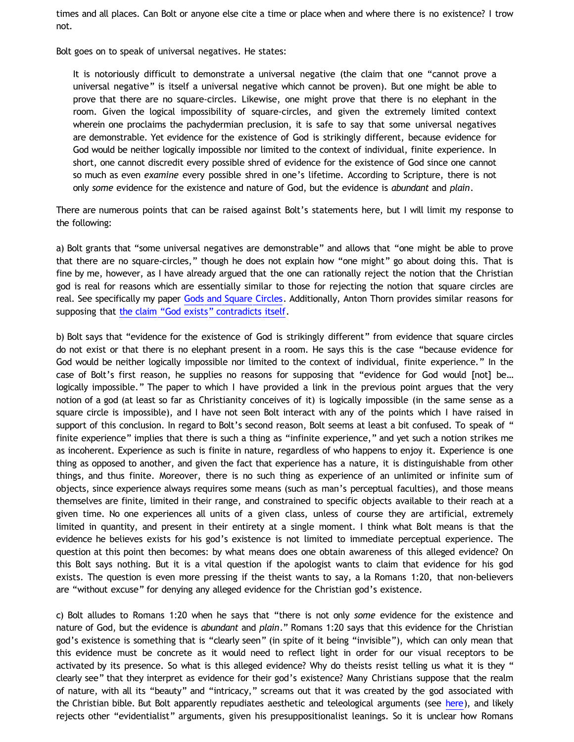times and all places. Can Bolt or anyone else cite a time or place when and where there is no existence? I trow not.

Bolt goes on to speak of universal negatives. He states:

It is notoriously difficult to demonstrate a universal negative (the claim that one "cannot prove a universal negative" is itself a universal negative which cannot be proven). But one might be able to prove that there are no square-circles. Likewise, one might prove that there is no elephant in the room. Given the logical impossibility of square-circles, and given the extremely limited context wherein one proclaims the pachydermian preclusion, it is safe to say that some universal negatives are demonstrable. Yet evidence for the existence of God is strikingly different, because evidence for God would be neither logically impossible nor limited to the context of individual, finite experience. In short, one cannot discredit every possible shred of evidence for the existence of God since one cannot so much as even *examine* every possible shred in one's lifetime. According to Scripture, there is not only *some* evidence for the existence and nature of God, but the evidence is *abundant* and *plain*.

There are numerous points that can be raised against Bolt's statements here, but I will limit my response to the following:

a) Bolt grants that "some universal negatives are demonstrable" and allows that "one might be able to prove that there are no square-circles," though he does not explain how "one might" go about doing this. That is fine by me, however, as I have already argued that the one can rationally reject the notion that the Christian god is real for reasons which are essentially similar to those for rejecting the notion that square circles are real. See specifically my paper [Gods and Square Circles](http://katholon.com/squarecircles.htm). Additionally, Anton Thorn provides similar reasons for supposing that [the claim](http://www.reocities.com/Athens/Sparta/1019/AFE/God_Contradiction.htm) ["God exists" contradicts itself](http://www.reocities.com/Athens/Sparta/1019/AFE/God_Contradiction.htm).

b) Bolt says that "evidence for the existence of God is strikingly different" from evidence that square circles do not exist or that there is no elephant present in a room. He says this is the case "because evidence for God would be neither logically impossible nor limited to the context of individual, finite experience." In the case of Bolt's first reason, he supplies no reasons for supposing that "evidence for God would [not] be… logically impossible." The paper to which I have provided a link in the previous point argues that the very notion of a god (at least so far as Christianity conceives of it) is logically impossible (in the same sense as a square circle is impossible), and I have not seen Bolt interact with any of the points which I have raised in support of this conclusion. In regard to Bolt's second reason, Bolt seems at least a bit confused. To speak of " finite experience" implies that there is such a thing as "infinite experience," and yet such a notion strikes me as incoherent. Experience as such is finite in nature, regardless of who happens to enjoy it. Experience is one thing as opposed to another, and given the fact that experience has a nature, it is distinguishable from other things, and thus finite. Moreover, there is no such thing as experience of an unlimited or infinite sum of objects, since experience always requires some means (such as man's perceptual faculties), and those means themselves are finite, limited in their range, and constrained to specific objects available to their reach at a given time. No one experiences all units of a given class, unless of course they are artificial, extremely limited in quantity, and present in their entirety at a single moment. I think what Bolt means is that the evidence he believes exists for his god's existence is not limited to immediate perceptual experience. The question at this point then becomes: by what means does one obtain awareness of this alleged evidence? On this Bolt says nothing. But it is a vital question if the apologist wants to claim that evidence for his god exists. The question is even more pressing if the theist wants to say, a la Romans 1:20, that non-believers are "without excuse" for denying any alleged evidence for the Christian god's existence.

c) Bolt alludes to Romans 1:20 when he says that "there is not only *some* evidence for the existence and nature of God, but the evidence is *abundant* and *plain*." Romans 1:20 says that this evidence for the Christian god's existence is something that is "clearly seen" (in spite of it being "invisible"), which can only mean that this evidence must be concrete as it would need to reflect light in order for our visual receptors to be activated by its presence. So what is this alleged evidence? Why do theists resist telling us what it is they " clearly see" that they interpret as evidence for their god's existence? Many Christians suppose that the realm of nature, with all its "beauty" and "intricacy," screams out that it was created by the god associated with the Christian bible. But Bolt apparently repudiates aesthetic and teleological arguments (see [here](http://www.choosinghats.com/2012/07/dear-atheists-please-get-better-objections/)), and likely rejects other "evidentialist" arguments, given his presuppositionalist leanings. So it is unclear how Romans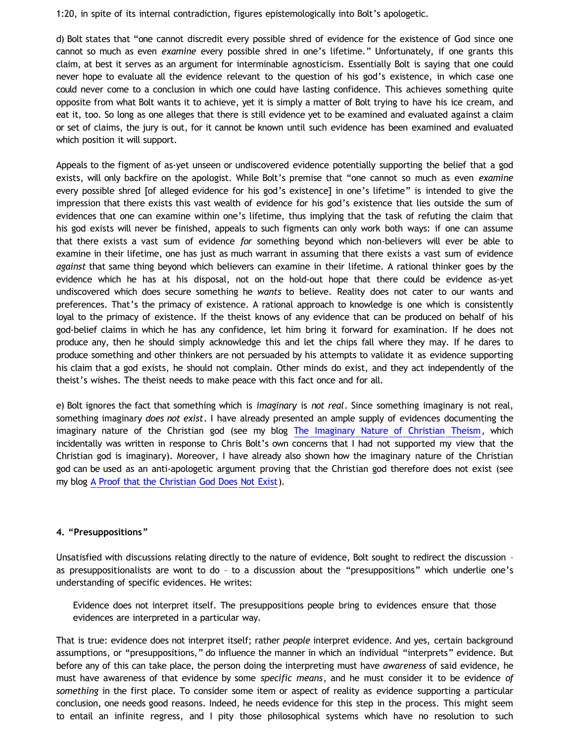1:20, in spite of its internal contradiction, figures epistemologically into Bolt's apologetic.

d) Bolt states that "one cannot discredit every possible shred of evidence for the existence of God since one cannot so much as even *examine* every possible shred in one's lifetime." Unfortunately, if one grants this claim, at best it serves as an argument for interminable agnosticism. Essentially Bolt is saying that one could never hope to evaluate all the evidence relevant to the question of his god's existence, in which case one could never come to a conclusion in which one could have lasting confidence. This achieves something quite opposite from what Bolt wants it to achieve, yet it is simply a matter of Bolt trying to have his ice cream, and eat it, too. So long as one alleges that there is still evidence yet to be examined and evaluated against a claim or set of claims, the jury is out, for it cannot be known until such evidence has been examined and evaluated which position it will support.

Appeals to the figment of as-yet unseen or undiscovered evidence potentially supporting the belief that a god exists, will only backfire on the apologist. While Bolt's premise that "one cannot so much as even *examine* every possible shred [of alleged evidence for his god's existence] in one's lifetime" is intended to give the impression that there exists this vast wealth of evidence for his god's existence that lies outside the sum of evidences that one can examine within one's lifetime, thus implying that the task of refuting the claim that his god exists will never be finished, appeals to such figments can only work both ways: if one can assume that there exists a vast sum of evidence *for* something beyond which non-believers will ever be able to examine in their lifetime, one has just as much warrant in assuming that there exists a vast sum of evidence *against* that same thing beyond which believers can examine in their lifetime. A rational thinker goes by the evidence which he has at his disposal, not on the hold-out hope that there could be evidence as-yet undiscovered which does secure something he *wants* to believe. Reality does not cater to our wants and preferences. That's the primacy of existence. A rational approach to knowledge is one which is consistently loyal to the primacy of existence. If the theist knows of any evidence that can be produced on behalf of his god-belief claims in which he has any confidence, let him bring it forward for examination. If he does not produce any, then he should simply acknowledge this and let the chips fall where they may. If he dares to produce something and other thinkers are not persuaded by his attempts to validate it as evidence supporting his claim that a god exists, he should not complain. Other minds do exist, and they act independently of the theist's wishes. The theist needs to make peace with this fact once and for all.

e) Bolt ignores the fact that something which is *imaginary* is *not real*. Since something imaginary is not real, something imaginary *does not exist*. I have already presented an ample supply of evidences documenting the imaginary nature of the Christian god (see my blog [The Imaginary Nature of Christian Theism,](http://bahnsenburner.blogspot.com/2010/05/imaginative-nature-of-christian-theism.html) which incidentally was written in response to Chris Bolt's own concerns that I had not supported my view that the Christian god is imaginary). Moreover, I have already also shown how the imaginary nature of the Christian god can be used as an anti-apologetic argument proving that the Christian god therefore does not exist (see my blog [A Proof that the Christian God Does Not Exist](http://bahnsenburner.blogspot.com/2011/07/proof-that-christian-god-does-not-exist.html)).

## **4. "Presuppositions"**

Unsatisfied with discussions relating directly to the nature of evidence, Bolt sought to redirect the discussion – as presuppositionalists are wont to do – to a discussion about the "presuppositions" which underlie one's understanding of specific evidences. He writes:

Evidence does not interpret itself. The presuppositions people bring to evidences ensure that those evidences are interpreted in a particular way.

That is true: evidence does not interpret itself; rather *people* interpret evidence. And yes, certain background assumptions, or "presuppositions," do influence the manner in which an individual "interprets" evidence. But before any of this can take place, the person doing the interpreting must have *awareness* of said evidence, he must have awareness of that evidence by some *specific means*, and he must consider it to be evidence *of something* in the first place. To consider some item or aspect of reality as evidence supporting a particular conclusion, one needs good reasons. Indeed, he needs evidence for this step in the process. This might seem to entail an infinite regress, and I pity those philosophical systems which have no resolution to such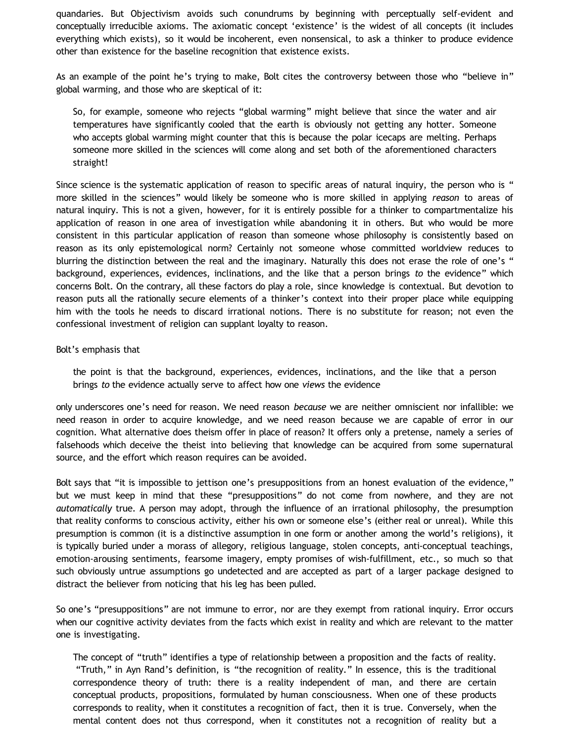quandaries. But Objectivism avoids such conundrums by beginning with perceptually self-evident and conceptually irreducible axioms. The axiomatic concept 'existence' is the widest of all concepts (it includes everything which exists), so it would be incoherent, even nonsensical, to ask a thinker to produce evidence other than existence for the baseline recognition that existence exists.

As an example of the point he's trying to make, Bolt cites the controversy between those who "believe in" global warming, and those who are skeptical of it:

So, for example, someone who rejects "global warming" might believe that since the water and air temperatures have significantly cooled that the earth is obviously not getting any hotter. Someone who accepts global warming might counter that this is because the polar icecaps are melting. Perhaps someone more skilled in the sciences will come along and set both of the aforementioned characters straight!

Since science is the systematic application of reason to specific areas of natural inquiry, the person who is " more skilled in the sciences" would likely be someone who is more skilled in applying *reason* to areas of natural inquiry. This is not a given, however, for it is entirely possible for a thinker to compartmentalize his application of reason in one area of investigation while abandoning it in others. But who would be more consistent in this particular application of reason than someone whose philosophy is consistently based on reason as its only epistemological norm? Certainly not someone whose committed worldview reduces to blurring the distinction between the real and the imaginary. Naturally this does not erase the role of one's " background, experiences, evidences, inclinations, and the like that a person brings *to* the evidence" which concerns Bolt. On the contrary, all these factors do play a role, since knowledge is contextual. But devotion to reason puts all the rationally secure elements of a thinker's context into their proper place while equipping him with the tools he needs to discard irrational notions. There is no substitute for reason; not even the confessional investment of religion can supplant loyalty to reason.

#### Bolt's emphasis that

the point is that the background, experiences, evidences, inclinations, and the like that a person brings *to* the evidence actually serve to affect how one *views* the evidence

only underscores one's need for reason. We need reason *because* we are neither omniscient nor infallible: we need reason in order to acquire knowledge, and we need reason because we are capable of error in our cognition. What alternative does theism offer in place of reason? It offers only a pretense, namely a series of falsehoods which deceive the theist into believing that knowledge can be acquired from some supernatural source, and the effort which reason requires can be avoided.

Bolt says that "it is impossible to jettison one's presuppositions from an honest evaluation of the evidence," but we must keep in mind that these "presuppositions" do not come from nowhere, and they are not *automatically* true. A person may adopt, through the influence of an irrational philosophy, the presumption that reality conforms to conscious activity, either his own or someone else's (either real or unreal). While this presumption is common (it is a distinctive assumption in one form or another among the world's religions), it is typically buried under a morass of allegory, religious language, stolen concepts, anti-conceptual teachings, emotion-arousing sentiments, fearsome imagery, empty promises of wish-fulfillment, etc., so much so that such obviously untrue assumptions go undetected and are accepted as part of a larger package designed to distract the believer from noticing that his leg has been pulled.

So one's "presuppositions" are not immune to error, nor are they exempt from rational inquiry. Error occurs when our cognitive activity deviates from the facts which exist in reality and which are relevant to the matter one is investigating.

The concept of "truth" identifies a type of relationship between a proposition and the facts of reality. "Truth," in Ayn Rand's definition, is "the recognition of reality." In essence, this is the traditional correspondence theory of truth: there is a reality independent of man, and there are certain conceptual products, propositions, formulated by human consciousness. When one of these products corresponds to reality, when it constitutes a recognition of fact, then it is true. Conversely, when the mental content does not thus correspond, when it constitutes not a recognition of reality but a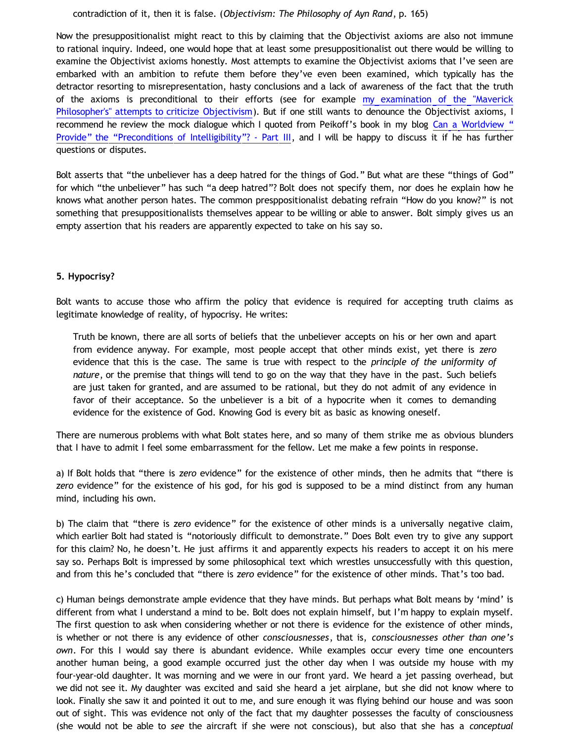### contradiction of it, then it is false. (*Objectivism: The Philosophy of Ayn Rand*, p. 165)

Now the presuppositionalist might react to this by claiming that the Objectivist axioms are also not immune to rational inquiry. Indeed, one would hope that at least some presuppositionalist out there would be willing to examine the Objectivist axioms honestly. Most attempts to examine the Objectivist axioms that I've seen are embarked with an ambition to refute them before they've even been examined, which typically has the detractor resorting to misrepresentation, hasty conclusions and a lack of awareness of the fact that the truth of the axioms is preconditional to their efforts (see for example [my examination of the "Maverick](http://katholon.com/Vallicella.htm) [Philosopher's" attempts to criticize Objectivism](http://katholon.com/Vallicella.htm)). But if one still wants to denounce the Objectivist axioms, I recommend he review the mock dialogue which I quoted from Peikoff's book in my blog [Can a Worldview](http://bahnsenburner.blogspot.com/2012/03/can-worldview-provide-preconditions-of_20.html) ["](http://bahnsenburner.blogspot.com/2012/03/can-worldview-provide-preconditions-of_20.html) [Provide" the](http://bahnsenburner.blogspot.com/2012/03/can-worldview-provide-preconditions-of_20.html) ["Preconditions of Intelligibility"? - Part III](http://bahnsenburner.blogspot.com/2012/03/can-worldview-provide-preconditions-of_20.html), and I will be happy to discuss it if he has further questions or disputes.

Bolt asserts that "the unbeliever has a deep hatred for the things of God." But what are these "things of God" for which "the unbeliever" has such "a deep hatred"? Bolt does not specify them, nor does he explain how he knows what another person hates. The common presppositionalist debating refrain "How do you know?" is not something that presuppositionalists themselves appear to be willing or able to answer. Bolt simply gives us an empty assertion that his readers are apparently expected to take on his say so.

## **5. Hypocrisy?**

Bolt wants to accuse those who affirm the policy that evidence is required for accepting truth claims as legitimate knowledge of reality, of hypocrisy. He writes:

Truth be known, there are all sorts of beliefs that the unbeliever accepts on his or her own and apart from evidence anyway. For example, most people accept that other minds exist, yet there is *zero* evidence that this is the case. The same is true with respect to the *principle of the uniformity of nature*, or the premise that things will tend to go on the way that they have in the past. Such beliefs are just taken for granted, and are assumed to be rational, but they do not admit of any evidence in favor of their acceptance. So the unbeliever is a bit of a hypocrite when it comes to demanding evidence for the existence of God. Knowing God is every bit as basic as knowing oneself.

There are numerous problems with what Bolt states here, and so many of them strike me as obvious blunders that I have to admit I feel some embarrassment for the fellow. Let me make a few points in response.

a) If Bolt holds that "there is *zero* evidence" for the existence of other minds, then he admits that "there is *zero* evidence" for the existence of his god, for his god is supposed to be a mind distinct from any human mind, including his own.

b) The claim that "there is *zero* evidence" for the existence of other minds is a universally negative claim, which earlier Bolt had stated is "notoriously difficult to demonstrate." Does Bolt even try to give any support for this claim? No, he doesn't. He just affirms it and apparently expects his readers to accept it on his mere say so. Perhaps Bolt is impressed by some philosophical text which wrestles unsuccessfully with this question, and from this he's concluded that "there is *zero* evidence" for the existence of other minds. That's too bad.

c) Human beings demonstrate ample evidence that they have minds. But perhaps what Bolt means by 'mind' is different from what I understand a mind to be. Bolt does not explain himself, but I'm happy to explain myself. The first question to ask when considering whether or not there is evidence for the existence of other minds, is whether or not there is any evidence of other *consciousnesses*, that is, *consciousnesses other than one's own*. For this I would say there is abundant evidence. While examples occur every time one encounters another human being, a good example occurred just the other day when I was outside my house with my four-year-old daughter. It was morning and we were in our front yard. We heard a jet passing overhead, but we did not see it. My daughter was excited and said she heard a jet airplane, but she did not know where to look. Finally she saw it and pointed it out to me, and sure enough it was flying behind our house and was soon out of sight. This was evidence not only of the fact that my daughter possesses the faculty of consciousness (she would not be able to *see* the aircraft if she were not conscious), but also that she has a *conceptual*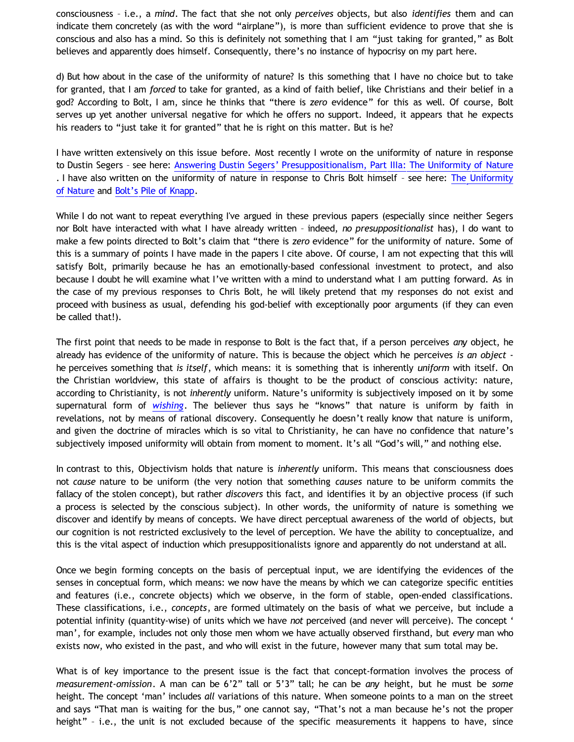consciousness – i.e., a *mind*. The fact that she not only *perceives* objects, but also *identifies* them and can indicate them concretely (as with the word "airplane"), is more than sufficient evidence to prove that she is conscious and also has a mind. So this is definitely not something that I am "just taking for granted," as Bolt believes and apparently does himself. Consequently, there's no instance of hypocrisy on my part here.

d) But how about in the case of the uniformity of nature? Is this something that I have no choice but to take for granted, that I am *forced* to take for granted, as a kind of faith belief, like Christians and their belief in a god? According to Bolt, I am, since he thinks that "there is *zero* evidence" for this as well. Of course, Bolt serves up yet another universal negative for which he offers no support. Indeed, it appears that he expects his readers to "just take it for granted" that he is right on this matter. But is he?

I have written extensively on this issue before. Most recently I wrote on the uniformity of nature in response to Dustin Segers – see here: [Answering Dustin Segers' Presuppositionalism, Part IIIa: The Uniformity of Nature](http://bahnsenburner.blogspot.com/2012/04/answering-dustin-segers_12.html) . I have also written on the uniformity of nature in response to Chris Bolt himself – see here: [The Uniformity](http://bahnsenburner.blogspot.com/2010/02/uniformity-of-nature.html) [of Nature](http://bahnsenburner.blogspot.com/2010/02/uniformity-of-nature.html) and [Bolt's Pile of Knapp.](http://katholon.com/Bolts-Pile-of-Knapp.htm)

While I do not want to repeat everything I've argued in these previous papers (especially since neither Segers nor Bolt have interacted with what I have already written – indeed, *no presuppositionalist* has), I do want to make a few points directed to Bolt's claim that "there is *zero* evidence" for the uniformity of nature. Some of this is a summary of points I have made in the papers I cite above. Of course, I am not expecting that this will satisfy Bolt, primarily because he has an emotionally-based confessional investment to protect, and also because I doubt he will examine what I've written with a mind to understand what I am putting forward. As in the case of my previous responses to Chris Bolt, he will likely pretend that my responses do not exist and proceed with business as usual, defending his god-belief with exceptionally poor arguments (if they can even be called that!).

The first point that needs to be made in response to Bolt is the fact that, if a person perceives *any* object, he already has evidence of the uniformity of nature. This is because the object which he perceives *is an object* he perceives something that *is itself*, which means: it is something that is inherently *uniform* with itself. On the Christian worldview, this state of affairs is thought to be the product of conscious activity: nature, according to Christianity, is not *inherently* uniform. Nature's uniformity is subjectively imposed on it by some supernatural form of *[wishing](http://bahnsenburner.blogspot.com/2006/12/wishing-and-christian-deity.html)*. The believer thus says he "knows" that nature is uniform by faith in revelations, not by means of rational discovery. Consequently he doesn't really know that nature is uniform, and given the doctrine of miracles which is so vital to Christianity, he can have no confidence that nature's subjectively imposed uniformity will obtain from moment to moment. It's all "God's will," and nothing else.

In contrast to this, Objectivism holds that nature is *inherently* uniform. This means that consciousness does not *cause* nature to be uniform (the very notion that something *causes* nature to be uniform commits the fallacy of the stolen concept), but rather *discovers* this fact, and identifies it by an objective process (if such a process is selected by the conscious subject). In other words, the uniformity of nature is something we discover and identify by means of concepts. We have direct perceptual awareness of the world of objects, but our cognition is not restricted exclusively to the level of perception. We have the ability to conceptualize, and this is the vital aspect of induction which presuppositionalists ignore and apparently do not understand at all.

Once we begin forming concepts on the basis of perceptual input, we are identifying the evidences of the senses in conceptual form, which means: we now have the means by which we can categorize specific entities and features (i.e., concrete objects) which we observe, in the form of stable, open-ended classifications. These classifications, i.e., *concepts*, are formed ultimately on the basis of what we perceive, but include a potential infinity (quantity-wise) of units which we have *not* perceived (and never will perceive). The concept ' man', for example, includes not only those men whom we have actually observed firsthand, but *every* man who exists now, who existed in the past, and who will exist in the future, however many that sum total may be.

What is of key importance to the present issue is the fact that concept-formation involves the process of *measurement-omission*. A man can be 6'2" tall or 5'3" tall; he can be *any* height, but he must be *some* height. The concept 'man' includes *all* variations of this nature. When someone points to a man on the street and says "That man is waiting for the bus," one cannot say, "That's not a man because he's not the proper height" - i.e., the unit is not excluded because of the specific measurements it happens to have, since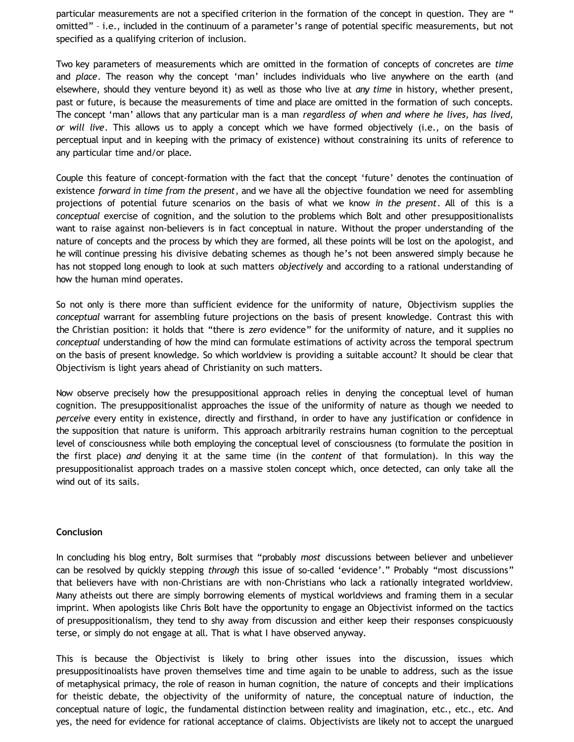particular measurements are not a specified criterion in the formation of the concept in question. They are " omitted" – i.e., included in the continuum of a parameter's range of potential specific measurements, but not specified as a qualifying criterion of inclusion.

Two key parameters of measurements which are omitted in the formation of concepts of concretes are *time* and *place*. The reason why the concept 'man' includes individuals who live anywhere on the earth (and elsewhere, should they venture beyond it) as well as those who live at *any time* in history, whether present, past or future, is because the measurements of time and place are omitted in the formation of such concepts. The concept 'man' allows that any particular man is a man *regardless of when and where he lives, has lived, or will live*. This allows us to apply a concept which we have formed objectively (i.e., on the basis of perceptual input and in keeping with the primacy of existence) without constraining its units of reference to any particular time and/or place.

Couple this feature of concept-formation with the fact that the concept 'future' denotes the continuation of existence *forward in time from the present*, and we have all the objective foundation we need for assembling projections of potential future scenarios on the basis of what we know *in the present*. All of this is a *conceptual* exercise of cognition, and the solution to the problems which Bolt and other presuppositionalists want to raise against non-believers is in fact conceptual in nature. Without the proper understanding of the nature of concepts and the process by which they are formed, all these points will be lost on the apologist, and he will continue pressing his divisive debating schemes as though he's not been answered simply because he has not stopped long enough to look at such matters *objectively* and according to a rational understanding of how the human mind operates.

So not only is there more than sufficient evidence for the uniformity of nature, Objectivism supplies the *conceptual* warrant for assembling future projections on the basis of present knowledge. Contrast this with the Christian position: it holds that "there is *zero* evidence" for the uniformity of nature, and it supplies no *conceptual* understanding of how the mind can formulate estimations of activity across the temporal spectrum on the basis of present knowledge. So which worldview is providing a suitable account? It should be clear that Objectivism is light years ahead of Christianity on such matters.

Now observe precisely how the presuppositional approach relies in denying the conceptual level of human cognition. The presuppositionalist approaches the issue of the uniformity of nature as though we needed to *perceive* every entity in existence, directly and firsthand, in order to have any justification or confidence in the supposition that nature is uniform. This approach arbitrarily restrains human cognition to the perceptual level of consciousness while both employing the conceptual level of consciousness (to formulate the position in the first place) *and* denying it at the same time (in the *content* of that formulation). In this way the presuppositionalist approach trades on a massive stolen concept which, once detected, can only take all the wind out of its sails.

## **Conclusion**

In concluding his blog entry, Bolt surmises that "probably *most* discussions between believer and unbeliever can be resolved by quickly stepping *through* this issue of so-called 'evidence'." Probably "most discussions" that believers have with non-Christians are with non-Christians who lack a rationally integrated worldview. Many atheists out there are simply borrowing elements of mystical worldviews and framing them in a secular imprint. When apologists like Chris Bolt have the opportunity to engage an Objectivist informed on the tactics of presuppositionalism, they tend to shy away from discussion and either keep their responses conspicuously terse, or simply do not engage at all. That is what I have observed anyway.

This is because the Objectivist is likely to bring other issues into the discussion, issues which presuppositinoalists have proven themselves time and time again to be unable to address, such as the issue of metaphysical primacy, the role of reason in human cognition, the nature of concepts and their implications for theistic debate, the objectivity of the uniformity of nature, the conceptual nature of induction, the conceptual nature of logic, the fundamental distinction between reality and imagination, etc., etc., etc. And yes, the need for evidence for rational acceptance of claims. Objectivists are likely not to accept the unargued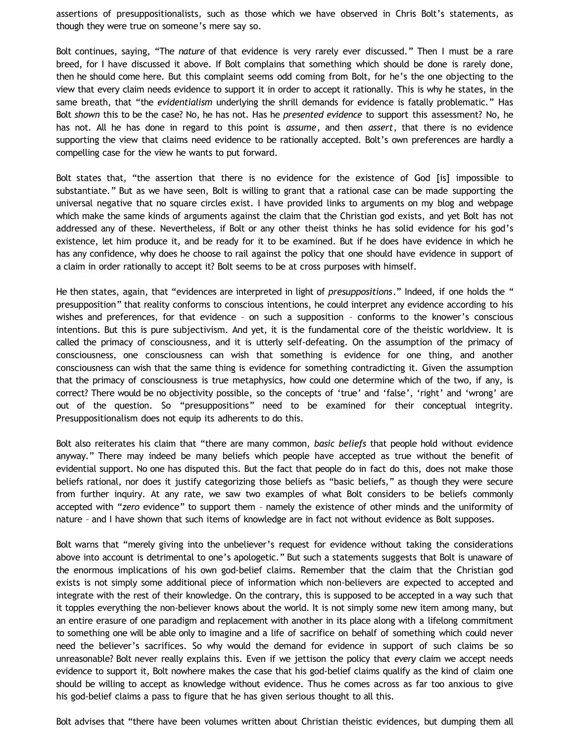assertions of presuppositionalists, such as those which we have observed in Chris Bolt's statements, as though they were true on someone's mere say so.

Bolt continues, saying, "The *nature* of that evidence is very rarely ever discussed." Then I must be a rare breed, for I have discussed it above. If Bolt complains that something which should be done is rarely done, then he should come here. But this complaint seems odd coming from Bolt, for he's the one objecting to the view that every claim needs evidence to support it in order to accept it rationally. This is why he states, in the same breath, that "the *evidentialism* underlying the shrill demands for evidence is fatally problematic." Has Bolt *shown* this to be the case? No, he has not. Has he *presented evidence* to support this assessment? No, he has not. All he has done in regard to this point is *assume*, and then *assert*, that there is no evidence supporting the view that claims need evidence to be rationally accepted. Bolt's own preferences are hardly a compelling case for the view he wants to put forward.

Bolt states that, "the assertion that there is no evidence for the existence of God [is] impossible to substantiate." But as we have seen, Bolt is willing to grant that a rational case can be made supporting the universal negative that no square circles exist. I have provided links to arguments on my blog and webpage which make the same kinds of arguments against the claim that the Christian god exists, and yet Bolt has not addressed any of these. Nevertheless, if Bolt or any other theist thinks he has solid evidence for his god's existence, let him produce it, and be ready for it to be examined. But if he does have evidence in which he has any confidence, why does he choose to rail against the policy that one should have evidence in support of a claim in order rationally to accept it? Bolt seems to be at cross purposes with himself.

He then states, again, that "evidences are interpreted in light of *presuppositions*." Indeed, if one holds the " presupposition" that reality conforms to conscious intentions, he could interpret any evidence according to his wishes and preferences, for that evidence – on such a supposition – conforms to the knower's conscious intentions. But this is pure subjectivism. And yet, it is the fundamental core of the theistic worldview. It is called the primacy of consciousness, and it is utterly self-defeating. On the assumption of the primacy of consciousness, one consciousness can wish that something is evidence for one thing, and another consciousness can wish that the same thing is evidence for something contradicting it. Given the assumption that the primacy of consciousness is true metaphysics, how could one determine which of the two, if any, is correct? There would be no objectivity possible, so the concepts of 'true' and 'false', 'right' and 'wrong' are out of the question. So "presuppositions" need to be examined for their conceptual integrity. Presuppositionalism does not equip its adherents to do this.

Bolt also reiterates his claim that "there are many common, *basic beliefs* that people hold without evidence anyway." There may indeed be many beliefs which people have accepted as true without the benefit of evidential support. No one has disputed this. But the fact that people do in fact do this, does not make those beliefs rational, nor does it justify categorizing those beliefs as "basic beliefs," as though they were secure from further inquiry. At any rate, we saw two examples of what Bolt considers to be beliefs commonly accepted with "*zero* evidence" to support them – namely the existence of other minds and the uniformity of nature – and I have shown that such items of knowledge are in fact not without evidence as Bolt supposes.

Bolt warns that "merely giving into the unbeliever's request for evidence without taking the considerations above into account is detrimental to one's apologetic." But such a statements suggests that Bolt is unaware of the enormous implications of his own god-belief claims. Remember that the claim that the Christian god exists is not simply some additional piece of information which non-believers are expected to accepted and integrate with the rest of their knowledge. On the contrary, this is supposed to be accepted in a way such that it topples everything the non-believer knows about the world. It is not simply some new item among many, but an entire erasure of one paradigm and replacement with another in its place along with a lifelong commitment to something one will be able only to imagine and a life of sacrifice on behalf of something which could never need the believer's sacrifices. So why would the demand for evidence in support of such claims be so unreasonable? Bolt never really explains this. Even if we jettison the policy that *every* claim we accept needs evidence to support it, Bolt nowhere makes the case that his god-belief claims qualify as the kind of claim one should be willing to accept as knowledge without evidence. Thus he comes across as far too anxious to give his god-belief claims a pass to figure that he has given serious thought to all this.

Bolt advises that "there have been volumes written about Christian theistic evidences, but dumping them all